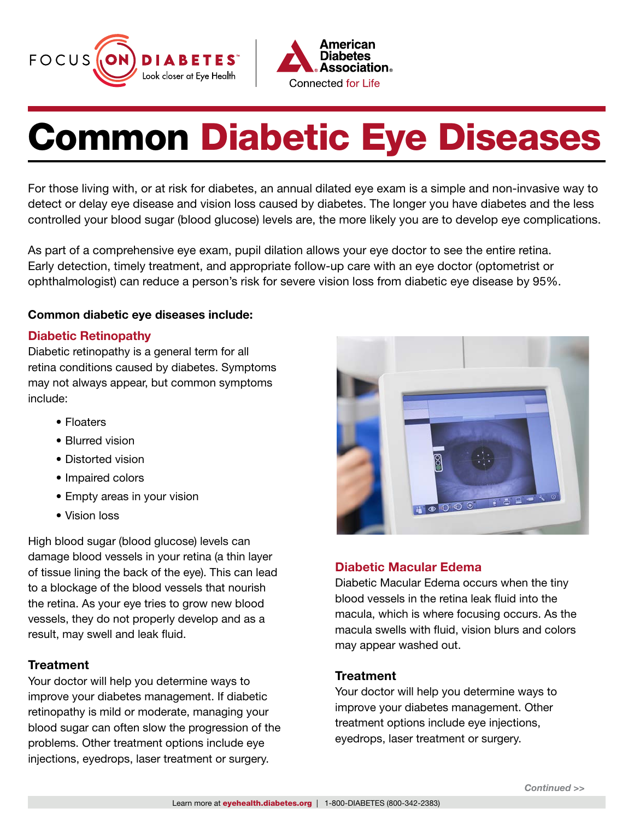



# Common Diabetic Eye Diseases

For those living with, or at risk for diabetes, an annual dilated eye exam is a simple and non-invasive way to detect or delay eye disease and vision loss caused by diabetes. The longer you have diabetes and the less controlled your blood sugar (blood glucose) levels are, the more likely you are to develop eye complications.

As part of a comprehensive eye exam, pupil dilation allows your eye doctor to see the entire retina. Early detection, timely treatment, and appropriate follow-up care with an eye doctor (optometrist or ophthalmologist) can reduce a person's risk for severe vision loss from diabetic eye disease by 95%.

### Common diabetic eye diseases include:

### Diabetic Retinopathy

Diabetic retinopathy is a general term for all retina conditions caused by diabetes. Symptoms may not always appear, but common symptoms include:

- Floaters
- Blurred vision
- Distorted vision
- Impaired colors
- Empty areas in your vision
- Vision loss

High blood sugar (blood glucose) levels can damage blood vessels in your retina (a thin layer of tissue lining the back of the eye). This can lead to a blockage of the blood vessels that nourish the retina. As your eye tries to grow new blood vessels, they do not properly develop and as a result, may swell and leak fluid.

# **Treatment**

Your doctor will help you determine ways to improve your diabetes management. If diabetic retinopathy is mild or moderate, managing your blood sugar can often slow the progression of the problems. Other treatment options include eye injections, eyedrops, laser treatment or surgery.



# Diabetic Macular Edema

Diabetic Macular Edema occurs when the tiny blood vessels in the retina leak fluid into the macula, which is where focusing occurs. As the macula swells with fluid, vision blurs and colors may appear washed out.

### **Treatment**

Your doctor will help you determine ways to improve your diabetes management. Other treatment options include eye injections, eyedrops, laser treatment or surgery.